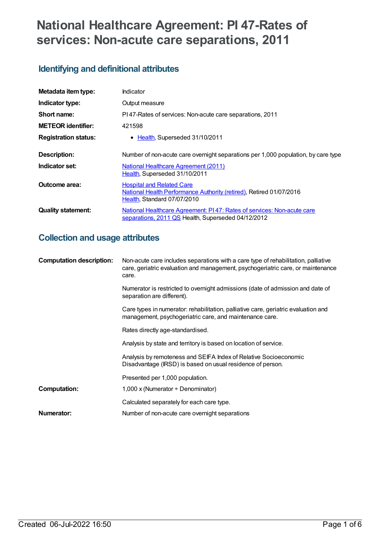# **National Healthcare Agreement: PI 47-Rates of services: Non-acute care separations, 2011**

## **Identifying and definitional attributes**

| Metadata item type:         | Indicator                                                                                                                              |  |
|-----------------------------|----------------------------------------------------------------------------------------------------------------------------------------|--|
| Indicator type:             | Output measure                                                                                                                         |  |
| Short name:                 | PI47-Rates of services: Non-acute care separations, 2011                                                                               |  |
| <b>METEOR identifier:</b>   | 421598                                                                                                                                 |  |
| <b>Registration status:</b> | • Health, Superseded 31/10/2011                                                                                                        |  |
| Description:                | Number of non-acute care overnight separations per 1,000 population, by care type                                                      |  |
| Indicator set:              | <b>National Healthcare Agreement (2011)</b><br>Health, Superseded 31/10/2011                                                           |  |
| Outcome area:               | <b>Hospital and Related Care</b><br>National Health Performance Authority (retired), Retired 01/07/2016<br>Health, Standard 07/07/2010 |  |
| <b>Quality statement:</b>   | National Healthcare Agreement: PI47: Rates of services: Non-acute care<br>separations, 2011 QS Health, Superseded 04/12/2012           |  |

## **Collection and usage attributes**

| <b>Computation description:</b> | Non-acute care includes separations with a care type of rehabilitation, palliative<br>care, geriatric evaluation and management, psychogeriatric care, or maintenance<br>care. |  |
|---------------------------------|--------------------------------------------------------------------------------------------------------------------------------------------------------------------------------|--|
|                                 | Numerator is restricted to overnight admissions (date of admission and date of<br>separation are different).                                                                   |  |
|                                 | Care types in numerator: rehabilitation, palliative care, geriatric evaluation and<br>management, psychogeriatric care, and maintenance care.                                  |  |
|                                 | Rates directly age-standardised.                                                                                                                                               |  |
|                                 | Analysis by state and territory is based on location of service.                                                                                                               |  |
|                                 | Analysis by remoteness and SEIFA Index of Relative Socioeconomic<br>Disadvantage (IRSD) is based on usual residence of person.                                                 |  |
|                                 | Presented per 1,000 population.                                                                                                                                                |  |
| <b>Computation:</b>             | 1,000 x (Numerator $\div$ Denominator)                                                                                                                                         |  |
|                                 | Calculated separately for each care type.                                                                                                                                      |  |
| Numerator:                      | Number of non-acute care overnight separations                                                                                                                                 |  |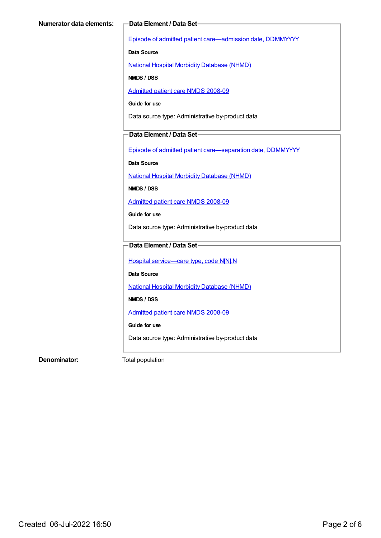Episode of admitted patient [care—admission](https://meteor.aihw.gov.au/content/269967) date, DDMMYYYY

**Data Source**

National Hospital Morbidity [Database](https://meteor.aihw.gov.au/content/394352) (NHMD)

**NMDS / DSS**

[Admitted](https://meteor.aihw.gov.au/content/361679) patient care NMDS 2008-09

**Guide for use**

Data source type: Administrative by-product data

#### **Data Element / Data Set**

Episode of admitted patient [care—separation](https://meteor.aihw.gov.au/content/270025) date, DDMMYYYY

**Data Source**

National Hospital Morbidity [Database](https://meteor.aihw.gov.au/content/394352) (NHMD)

**NMDS / DSS**

[Admitted](https://meteor.aihw.gov.au/content/361679) patient care NMDS 2008-09

**Guide for use**

Data source type: Administrative by-product data

#### **Data Element / Data Set**

Hospital [service—care](https://meteor.aihw.gov.au/content/270174) type, code N[N].N

**Data Source**

National Hospital Morbidity [Database](https://meteor.aihw.gov.au/content/394352) (NHMD)

**NMDS / DSS**

[Admitted](https://meteor.aihw.gov.au/content/361679) patient care NMDS 2008-09

**Guide for use**

Data source type: Administrative by-product data

**Denominator:** Total population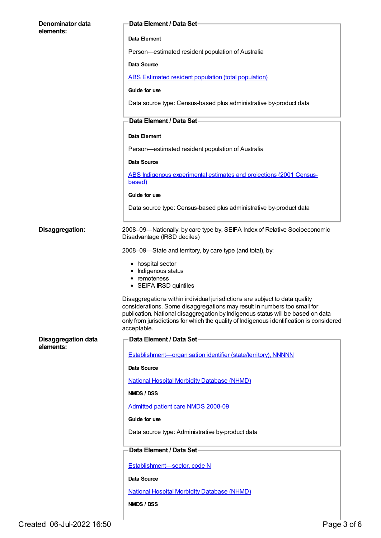| Denominator data<br>elements: | <b>Data Element / Data Set-</b>                                                                                                                                                                                                                                                                                                                       |  |
|-------------------------------|-------------------------------------------------------------------------------------------------------------------------------------------------------------------------------------------------------------------------------------------------------------------------------------------------------------------------------------------------------|--|
|                               | Data Element                                                                                                                                                                                                                                                                                                                                          |  |
|                               | Person-estimated resident population of Australia                                                                                                                                                                                                                                                                                                     |  |
|                               | <b>Data Source</b>                                                                                                                                                                                                                                                                                                                                    |  |
|                               | <b>ABS Estimated resident population (total population)</b>                                                                                                                                                                                                                                                                                           |  |
|                               | Guide for use                                                                                                                                                                                                                                                                                                                                         |  |
|                               | Data source type: Census-based plus administrative by-product data                                                                                                                                                                                                                                                                                    |  |
|                               | Data Element / Data Set-                                                                                                                                                                                                                                                                                                                              |  |
|                               | Data Element                                                                                                                                                                                                                                                                                                                                          |  |
|                               | Person-estimated resident population of Australia                                                                                                                                                                                                                                                                                                     |  |
|                               | Data Source                                                                                                                                                                                                                                                                                                                                           |  |
|                               | ABS Indigenous experimental estimates and projections (2001 Census-<br>based)                                                                                                                                                                                                                                                                         |  |
|                               | Guide for use                                                                                                                                                                                                                                                                                                                                         |  |
|                               | Data source type: Census-based plus administrative by-product data                                                                                                                                                                                                                                                                                    |  |
| Disaggregation:               | 2008-09-Nationally, by care type by, SEIFA Index of Relative Socioeconomic<br>Disadvantage (IRSD deciles)                                                                                                                                                                                                                                             |  |
|                               | 2008-09-State and territory, by care type (and total), by:                                                                                                                                                                                                                                                                                            |  |
|                               | • hospital sector<br>• Indigenous status<br>• remoteness<br>• SEIFA IRSD quintiles                                                                                                                                                                                                                                                                    |  |
|                               | Disaggregations within individual jurisdictions are subject to data quality<br>considerations. Some disaggregations may result in numbers too small for<br>publication. National disaggregation by Indigenous status will be based on data<br>only from jurisdictions for which the quality of Indigenous identification is considered<br>acceptable. |  |
| <b>Disaggregation data</b>    | Data Element / Data Set-                                                                                                                                                                                                                                                                                                                              |  |
| elements:                     | Establishment-organisation identifier (state/territory), NNNNN                                                                                                                                                                                                                                                                                        |  |
|                               | Data Source                                                                                                                                                                                                                                                                                                                                           |  |
|                               | <b>National Hospital Morbidity Database (NHMD)</b>                                                                                                                                                                                                                                                                                                    |  |
|                               | NMDS / DSS                                                                                                                                                                                                                                                                                                                                            |  |
|                               | Admitted patient care NMDS 2008-09                                                                                                                                                                                                                                                                                                                    |  |
|                               | Guide for use                                                                                                                                                                                                                                                                                                                                         |  |
|                               | Data source type: Administrative by-product data                                                                                                                                                                                                                                                                                                      |  |
|                               | Data Element / Data Set-                                                                                                                                                                                                                                                                                                                              |  |
|                               | Establishment-sector, code N                                                                                                                                                                                                                                                                                                                          |  |
|                               | Data Source                                                                                                                                                                                                                                                                                                                                           |  |
|                               | <b>National Hospital Morbidity Database (NHMD)</b>                                                                                                                                                                                                                                                                                                    |  |
|                               | NMDS / DSS                                                                                                                                                                                                                                                                                                                                            |  |
|                               |                                                                                                                                                                                                                                                                                                                                                       |  |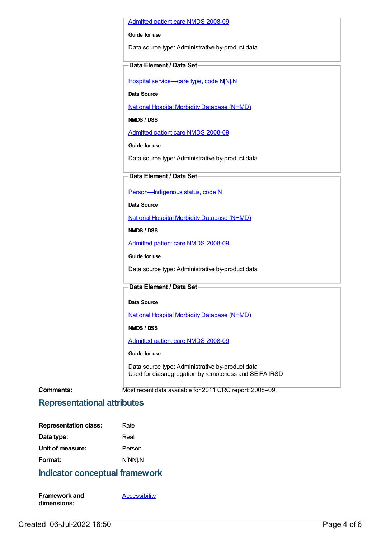#### [Admitted](https://meteor.aihw.gov.au/content/361679) patient care NMDS 2008-09

#### **Guide for use**

Data source type: Administrative by-product data

#### **Data Element / Data Set**

Hospital [service—care](https://meteor.aihw.gov.au/content/270174) type, code N[N].N

**Data Source**

National Hospital Morbidity [Database](https://meteor.aihw.gov.au/content/394352) (NHMD)

**NMDS / DSS**

[Admitted](https://meteor.aihw.gov.au/content/361679) patient care NMDS 2008-09

**Guide for use**

Data source type: Administrative by-product data

#### **Data Element / Data Set**

[Person—Indigenous](https://meteor.aihw.gov.au/content/291036) status, code N

**Data Source**

National Hospital Morbidity [Database](https://meteor.aihw.gov.au/content/394352) (NHMD)

**NMDS / DSS**

[Admitted](https://meteor.aihw.gov.au/content/361679) patient care NMDS 2008-09

**Guide for use**

Data source type: Administrative by-product data

#### **Data Element / Data Set**

**Data Source**

National Hospital Morbidity [Database](https://meteor.aihw.gov.au/content/394352) (NHMD)

**NMDS / DSS**

[Admitted](https://meteor.aihw.gov.au/content/361679) patient care NMDS 2008-09

#### **Guide for use**

Data source type: Administrative by-product data Used for diasaggregation by remoteness and SEIFA IRSD

**Comments:** Most recent data available for 2011 CRC report: 2008–09.

#### **Representational attributes**

| <b>Representation class:</b> | Rate    |
|------------------------------|---------|
| Data type:                   | Real    |
| Unit of measure:             | Person  |
| Format:                      | N[NN].N |

### **Indicator conceptual framework**

**Framework and dimensions:**

**[Accessibility](https://meteor.aihw.gov.au/content/392591)**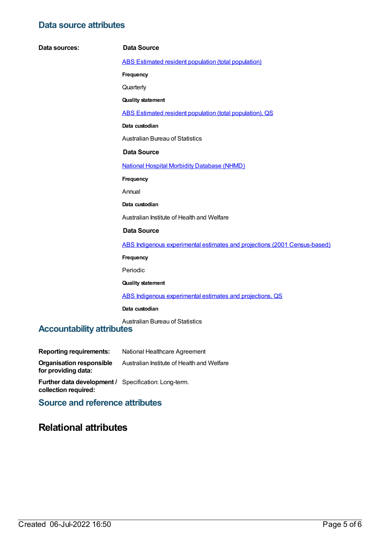## **Data source attributes**

| Data sources:                    | <b>Data Source</b>                                                        |
|----------------------------------|---------------------------------------------------------------------------|
|                                  | <b>ABS Estimated resident population (total population)</b>               |
|                                  | Frequency                                                                 |
|                                  | Quarterly                                                                 |
|                                  | <b>Quality statement</b>                                                  |
|                                  | ABS Estimated resident population (total population), QS                  |
|                                  | Data custodian                                                            |
|                                  | <b>Australian Bureau of Statistics</b>                                    |
|                                  | <b>Data Source</b>                                                        |
|                                  | <b>National Hospital Morbidity Database (NHMD)</b>                        |
|                                  | Frequency                                                                 |
|                                  | Annual                                                                    |
|                                  | Data custodian                                                            |
|                                  | Australian Institute of Health and Welfare                                |
|                                  | <b>Data Source</b>                                                        |
|                                  | ABS Indigenous experimental estimates and projections (2001 Census-based) |
|                                  | Frequency                                                                 |
|                                  | Periodic                                                                  |
|                                  | <b>Quality statement</b>                                                  |
|                                  | ABS Indigenous experimental estimates and projections, QS                 |
|                                  | Data custodian                                                            |
| <b>Accountability attributes</b> | <b>Australian Bureau of Statistics</b>                                    |
|                                  |                                                                           |

| <b>Reporting requirements:</b>                  | National Healthcare Agreement              |
|-------------------------------------------------|--------------------------------------------|
| Organisation responsible<br>for providing data: | Australian Institute of Health and Welfare |

**Further data development / collection required:** Specification: Long-term.

**Source and reference attributes**

## **Relational attributes**